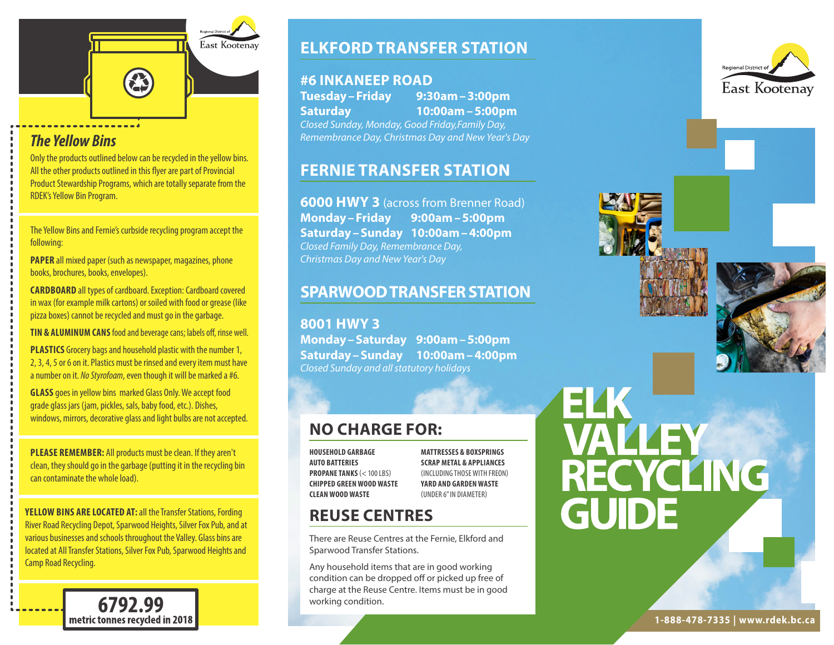

# *The Yellow Bins*

Only the products outlined below can be recycled in the yellow bins. All the other products outlined in this flyer are part of Provincial Product Stewardship Programs, which are totally separate from the RDEK's Yellow Bin Program.

The Yellow Bins and Fernie's curbside recycling program accept the following:

**PAPER** all mixed paper (such as newspaper, magazines, phone books, brochures, books, envelopes).

**CARDBOARD** all types of cardboard. Exception: Cardboard covered in wax (for example milk cartons) or soiled with food or grease (like pizza boxes) cannot be recycled and must go in the garbage.

**TIN & ALUMINUM CANS** food and beverage cans; labels off, rinse well.

**PLASTICS** Grocery bags and household plastic with the number 1, 2, 3, 4, 5 or 6 on it. Plastics must be rinsed and every item must have a number on it. *No Styrofoam*, even though it will be marked a #6.

**GLASS** goes in yellow bins marked Glass Only. We accept food grade glass jars (jam, pickles, sals, baby food, etc.). Dishes, windows, mirrors, decorative glass and light bulbs are not accepted.

**PLEASE REMEMBER:** All products must be clean. If they aren't clean, they should go in the garbage (putting it in the recycling bin can contaminate the whole load).

**YELLOW BINS ARE LOCATED AT:** all the Transfer Stations, Fording River Road Recycling Depot, Sparwood Heights, Silver Fox Pub, and at various businesses and schools throughout the Valley. Glass bins are located at All Transfer Stations, Silver Fox Pub, Sparwood Heights and Camp Road Recycling.

> 6792.99 metric tonnes recycled in 2018

# **ELKFORD TRANSFER STATION**

### **#6 INKANEEP ROAD**

**Tuesday–Friday 9:30am–3:00pm Saturday 10:00am–5:00pm** *Closed Sunday, Monday, Good Friday,Family Day, Remembrance Day, Christmas Day and New Year's Day*

## **FERNIE TRANSFER STATION**

**6000 HWY 3** (across from Brenner Road) **Monday–Friday 9:00am–5:00pm Saturday–Sunday 10:00am–4:00pm** *Closed Family Day, Remembrance Day, Christmas Day and New Year's Day*

## **SPARWOOD TRANSFER STATION**

**8001 HWY 3 Monday–Saturday 9:00am–5:00pm Saturday–Sunday 10:00am–4:00pm** *Closed Sunday and all statutory holidays*

# **NO CHARGE FOR:**

**HOUSEHOLD GARBAGE AUTO BATTERIES PROPANE TANKS** (< 100 LBS) **CHIPPED GREEN WOOD WASTE CLEAN WOOD WASTE**

**MATTRESSES & BOXSPRINGS SCRAP METAL & APPLIANCES**  (INCLUDING THOSE WITH FREON) **YARD AND GARDEN WASTE**  (UNDER 6" IN DIAMETER)

# **REUSE CENTRES**

There are Reuse Centres at the Fernie, Elkford and Sparwood Transfer Stations.

Any household items that are in good working condition can be dropped off or picked up free of charge at the Reuse Centre. Items must be in good working condition.







# ELK<br>VALLEY<br>RECYCLING<br>GUIDE

**1-888-478-7335 | www.rdek.bc.ca**